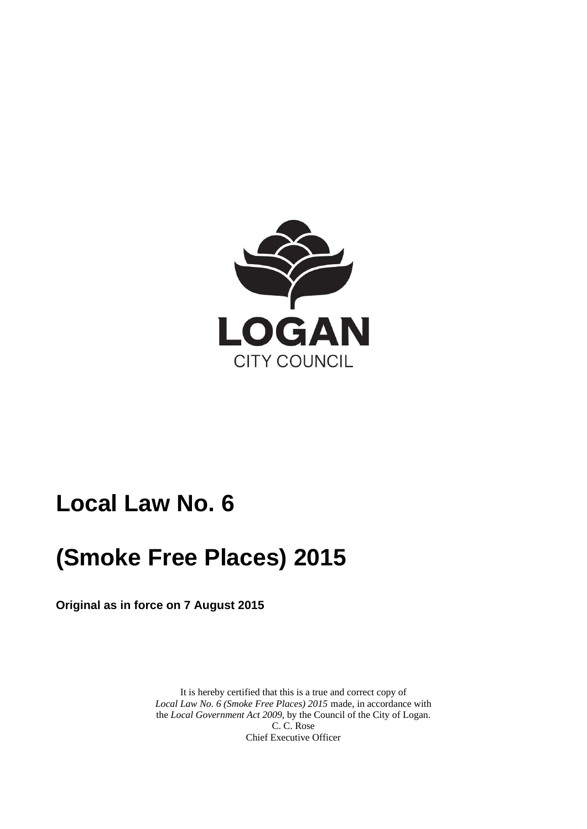

## **Local Law No. 6**

# **(Smoke Free Places) 2015**

**Original as in force on 7 August 2015** 

 It is hereby certified that this is a true and correct copy of *Local Law No. 6 (Smoke Free Places) 2015* made, in accordance with the *Local Government Act 2009*, by the Council of the City of Logan. C. C. Rose Chief Executive Officer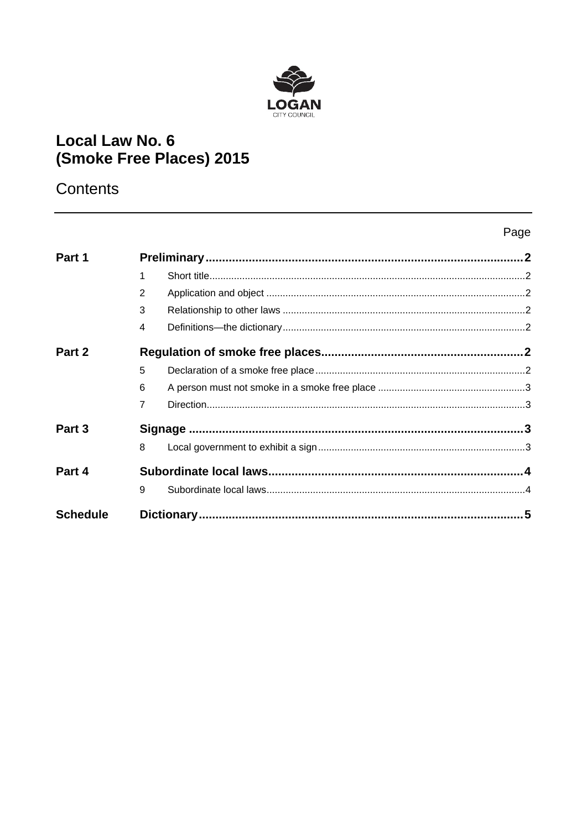

## **Local Law No. 6** (Smoke Free Places) 2015

### Contents

### Page

| Part 1          |                |  |  |
|-----------------|----------------|--|--|
|                 | 1              |  |  |
|                 | 2              |  |  |
|                 | 3              |  |  |
|                 | 4              |  |  |
| Part 2          |                |  |  |
|                 | 5              |  |  |
|                 | 6              |  |  |
|                 | $\overline{7}$ |  |  |
| Part 3          |                |  |  |
|                 | 8              |  |  |
| Part 4          |                |  |  |
|                 | 9              |  |  |
| <b>Schedule</b> |                |  |  |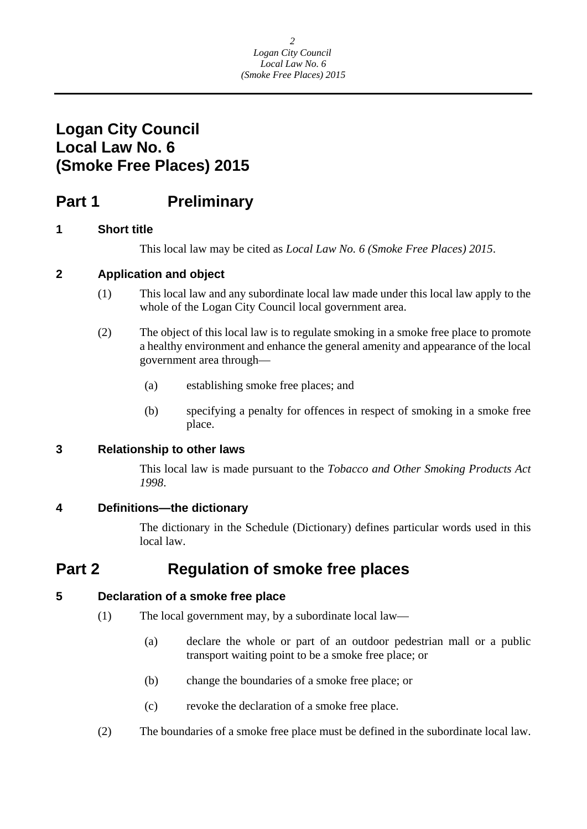### <span id="page-2-0"></span>**Logan City Council Local Law No. 6 (Smoke Free Places) 2015**

### **Part 1** Preliminary

#### **1 Short title**

This local law may be cited as *Local Law No. 6 (Smoke Free Places) 2015*.

#### **2 Application and object**

- (1) This local law and any subordinate local law made under this local law apply to the whole of the Logan City Council local government area.
- (2) The object of this local law is to regulate smoking in a smoke free place to promote a healthy environment and enhance the general amenity and appearance of the local government area through—
	- (a) establishing smoke free places; and
	- (b) specifying a penalty for offences in respect of smoking in a smoke free place.

#### **3 Relationship to other laws**

This local law is made pursuant to the *Tobacco and Other Smoking Products Act 1998*.

#### **4 Definitions—the dictionary**

The dictionary in the Schedule (Dictionary) defines particular words used in this local law.

### **Part 2 Regulation of smoke free places**

#### **5 Declaration of a smoke free place**

- (1) The local government may, by a subordinate local law—
	- (a) declare the whole or part of an outdoor pedestrian mall or a public transport waiting point to be a smoke free place; or
	- (b) change the boundaries of a smoke free place; or
	- (c) revoke the declaration of a smoke free place.
- (2) The boundaries of a smoke free place must be defined in the subordinate local law.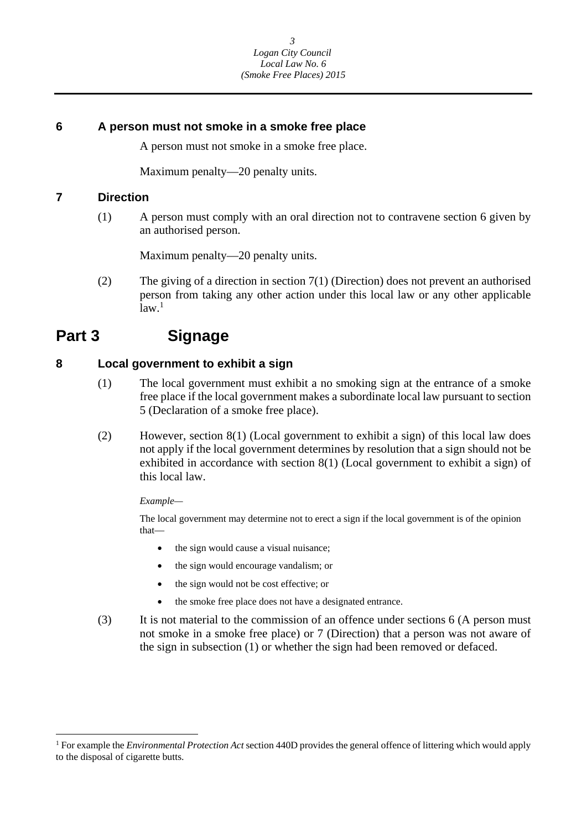#### <span id="page-3-0"></span>**6 A person must not smoke in a smoke free place**

A person must not smoke in a smoke free place.

Maximum penalty—20 penalty units.

#### **7 Direction**

(1) A person must comply with an oral direction not to contravene section 6 given by an authorised person.

Maximum penalty—20 penalty units.

(2) The giving of a direction in section 7(1) (Direction) does not prevent an authorised person from taking any other action under this local law or any other applicable  $\bar{1}$ aw.<sup>1</sup>

### **Part 3 Signage**

#### **8 Local government to exhibit a sign**

- (1) The local government must exhibit a no smoking sign at the entrance of a smoke free place if the local government makes a subordinate local law pursuant to section 5 (Declaration of a smoke free place).
- (2) However, section 8(1) (Local government to exhibit a sign) of this local law does not apply if the local government determines by resolution that a sign should not be exhibited in accordance with section 8(1) (Local government to exhibit a sign) of this local law.

*Example—* 

 $\overline{a}$ 

The local government may determine not to erect a sign if the local government is of the opinion that—

- the sign would cause a visual nuisance;
- the sign would encourage vandalism; or
- the sign would not be cost effective; or
- the smoke free place does not have a designated entrance.
- (3) It is not material to the commission of an offence under sections 6 (A person must not smoke in a smoke free place) or 7 (Direction) that a person was not aware of the sign in subsection (1) or whether the sign had been removed or defaced.

<sup>1</sup> For example the *Environmental Protection Act* section 440D provides the general offence of littering which would apply to the disposal of cigarette butts.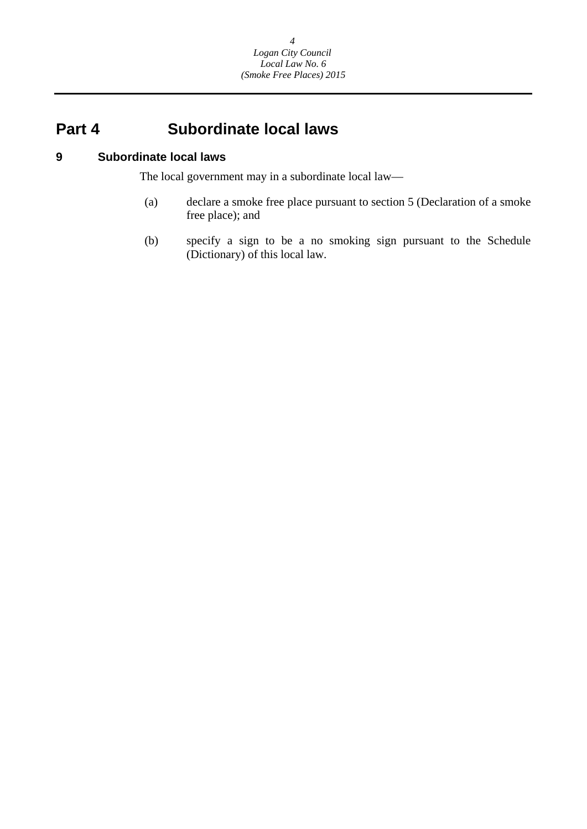### <span id="page-4-0"></span>**Part 4 Subordinate local laws**

#### **9 Subordinate local laws**

The local government may in a subordinate local law—

- (a) declare a smoke free place pursuant to section 5 (Declaration of a smoke free place); and
- (b) specify a sign to be a no smoking sign pursuant to the Schedule (Dictionary) of this local law.